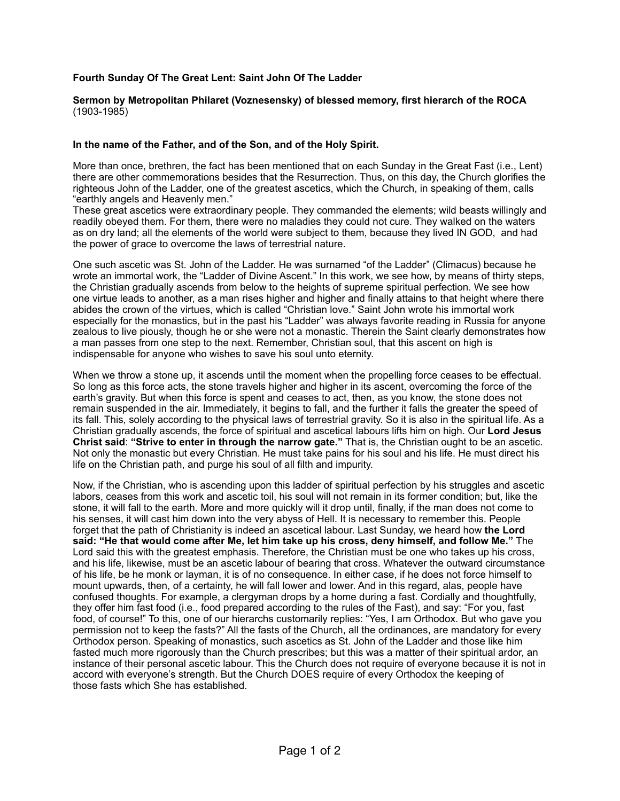## **Fourth Sunday Of The Great Lent: Saint John Of The Ladder**

## **Sermon by Metropolitan Philaret (Voznesensky) of blessed memory, first hierarch of the ROCA** (1903-1985)

## **In the name of the Father, and of the Son, and of the Holy Spirit.**

More than once, brethren, the fact has been mentioned that on each Sunday in the Great Fast (i.e., Lent) there are other commemorations besides that the Resurrection. Thus, on this day, the Church glorifies the righteous John of the Ladder, one of the greatest ascetics, which the Church, in speaking of them, calls "earthly angels and Heavenly men."

These great ascetics were extraordinary people. They commanded the elements; wild beasts willingly and readily obeyed them. For them, there were no maladies they could not cure. They walked on the waters as on dry land; all the elements of the world were subject to them, because they lived IN GOD, and had the power of grace to overcome the laws of terrestrial nature.

One such ascetic was St. John of the Ladder. He was surnamed "of the Ladder" (Climacus) because he wrote an immortal work, the "Ladder of Divine Ascent." In this work, we see how, by means of thirty steps, the Christian gradually ascends from below to the heights of supreme spiritual perfection. We see how one virtue leads to another, as a man rises higher and higher and finally attains to that height where there abides the crown of the virtues, which is called "Christian love." Saint John wrote his immortal work especially for the monastics, but in the past his "Ladder" was always favorite reading in Russia for anyone zealous to live piously, though he or she were not a monastic. Therein the Saint clearly demonstrates how a man passes from one step to the next. Remember, Christian soul, that this ascent on high is indispensable for anyone who wishes to save his soul unto eternity.

When we throw a stone up, it ascends until the moment when the propelling force ceases to be effectual. So long as this force acts, the stone travels higher and higher in its ascent, overcoming the force of the earth's gravity. But when this force is spent and ceases to act, then, as you know, the stone does not remain suspended in the air. Immediately, it begins to fall, and the further it falls the greater the speed of its fall. This, solely according to the physical laws of terrestrial gravity. So it is also in the spiritual life. As a Christian gradually ascends, the force of spiritual and ascetical labours lifts him on high. Our **Lord Jesus Christ said**: **"Strive to enter in through the narrow gate."** That is, the Christian ought to be an ascetic. Not only the monastic but every Christian. He must take pains for his soul and his life. He must direct his life on the Christian path, and purge his soul of all filth and impurity.

Now, if the Christian, who is ascending upon this ladder of spiritual perfection by his struggles and ascetic labors, ceases from this work and ascetic toil, his soul will not remain in its former condition; but, like the stone, it will fall to the earth. More and more quickly will it drop until, finally, if the man does not come to his senses, it will cast him down into the very abyss of Hell. It is necessary to remember this. People forget that the path of Christianity is indeed an ascetical labour. Last Sunday, we heard how **the Lord said: "He that would come after Me, let him take up his cross, deny himself, and follow Me."** The Lord said this with the greatest emphasis. Therefore, the Christian must be one who takes up his cross, and his life, likewise, must be an ascetic labour of bearing that cross. Whatever the outward circumstance of his life, be he monk or layman, it is of no consequence. In either case, if he does not force himself to mount upwards, then, of a certainty, he will fall lower and lower. And in this regard, alas, people have confused thoughts. For example, a clergyman drops by a home during a fast. Cordially and thoughtfully, they offer him fast food (i.e., food prepared according to the rules of the Fast), and say: "For you, fast food, of course!" To this, one of our hierarchs customarily replies: "Yes, I am Orthodox. But who gave you permission not to keep the fasts?" All the fasts of the Church, all the ordinances, are mandatory for every Orthodox person. Speaking of monastics, such ascetics as St. John of the Ladder and those like him fasted much more rigorously than the Church prescribes; but this was a matter of their spiritual ardor, an instance of their personal ascetic labour. This the Church does not require of everyone because it is not in accord with everyone's strength. But the Church DOES require of every Orthodox the keeping of those fasts which She has established.